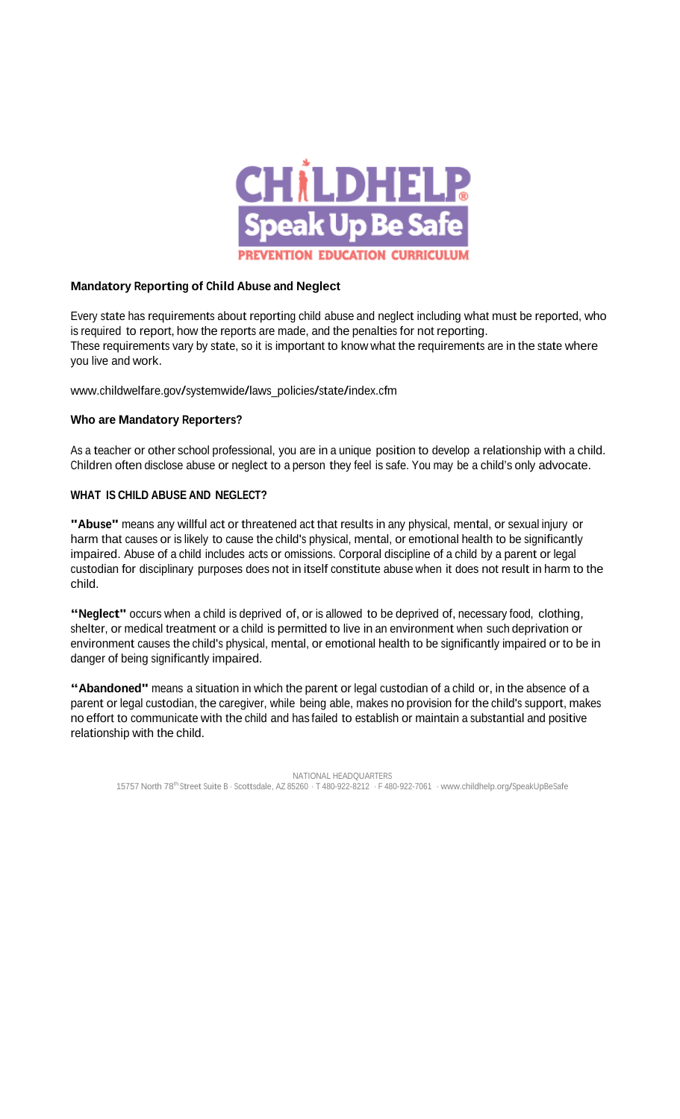

## **Mandatory Reporting of Child Abuse and Neglect**

Every state has requirements about reporting child abuse and neglect including what must be reported, who is required to report, how the reports are made, and the penalties for not reporting. These requirements vary by state, so it is important to know what the requirements are in the state where you live and work.

[www.childwelfare.gov/systemwide/laws\\_policies/state/index.cfm](http://www.childwelfare.gov/systemwide/laws_policies/state/index.cfm)

## **Who are Mandatory Reporters?**

As a teacher or other school professional, you are in a unique position to develop a relationship with a child. Children often disclose abuse or neglect to a person they feel is safe. You may be a child's only advocate.

## **WHAT IS CHILD ABUSE AND NEGLECT?**

**"Abuse"** means any willful act or threatened act that results in any physical, mental, or sexual injury or harm that causes or is likely to cause the child's physical, mental, or emotional health to be significantly impaired. Abuse of a child includes acts or omissions. Corporal discipline of a child by a parent or legal custodian for disciplinary purposes does not in itself constitute abuse when it does not result in harm to the child.

**"Neglect"** occurs when <sup>a</sup> child is deprived of, or is allowed to be deprived of, necessary food, clothing, shelter, or medical treatment or a child is permitted to live in an environment when such deprivation or environment causes the child's physical, mental, or emotional health to be significantly impaired or to be in danger of being significantly impaired.

**"Abandoned"** means <sup>a</sup> situation in which the parent or legal custodian of <sup>a</sup> child or, in the absence of a parent or legal custodian, the caregiver, while being able, makes no provision for the child's support, makes no effort to communicate with the child and has failed to establish or maintain a substantial and positive relationship with the child.

NATIONAL HEADQUARTERS <sup>15757</sup> North 78th Street Suite <sup>B</sup> · Scottsdale, AZ <sup>85260</sup> · <sup>T</sup> 480-922-8212 · <sup>F</sup> 480-922-7061 · [www.childhelp.org/SpeakUpBeSafe](http://www.childhelp.org/SpeakUpBeSafe)